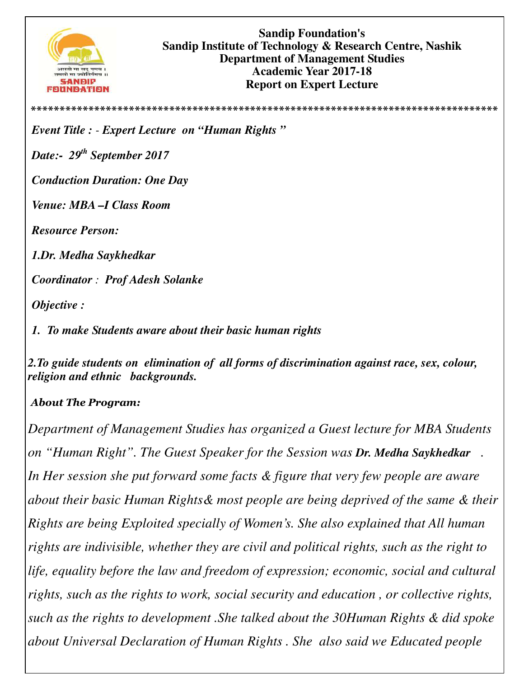

**\*\*\*\*\*\*\*\*\*\*\*\*\*\*\*\*\*\*\*\*\*\*\*\*\*\*\*\*\*\*\*\*\*\*\*\*\*\*\*\*\*\*\*\*\*\*\*\*\*\*\*\*\*\*\*\*\*\*\*\*\*\*\*\*\*\*\*\*\*\*\*\*\*\*\*\*\*\*\*\*\***

*Event Title : - Expert Lecture on "Human Rights "* 

*Date:- 29th September 2017* 

*Conduction Duration: One Day* 

*Venue: MBA –I Class Room* 

*Resource Person:* 

*1.Dr. Medha Saykhedkar* 

*Coordinator : Prof Adesh Solanke* 

*Objective :* 

*1. To make Students aware about their basic human rights* 

*2.To guide students on elimination of all forms of discrimination against race, sex, colour, religion and ethnic backgrounds.* 

## *About The Program:*

*Department of Management Studies has organized a Guest lecture for MBA Students on "Human Right". The Guest Speaker for the Session was Dr. Medha Saykhedkar .*  In Her session she put forward some facts & figure that very few people are aware *about their basic Human Rights& most people are being deprived of the same & their Rights are being Exploited specially of Women's. She also explained that All human rights are indivisible, whether they are civil and political rights, such as the right to life, equality before the law and freedom of expression; economic, social and cultural rights, such as the rights to work, social security and education , or collective rights, such as the rights to development .She talked about the 30Human Rights & did spoke about Universal Declaration of Human Rights . She also said we Educated people*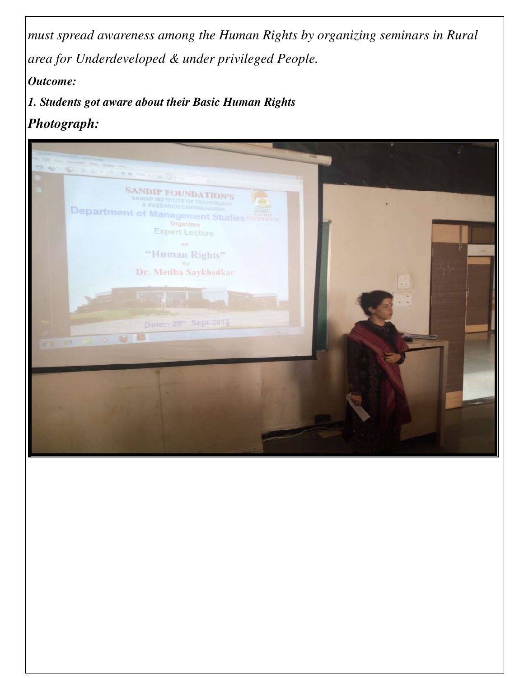*must spread awareness among the Human Rights by organizing seminars in Rural area for Underdeveloped & under privileged People.* 

*Outcome:* 

*1. Students got aware about their Basic Human Rights* 

*Photograph:*